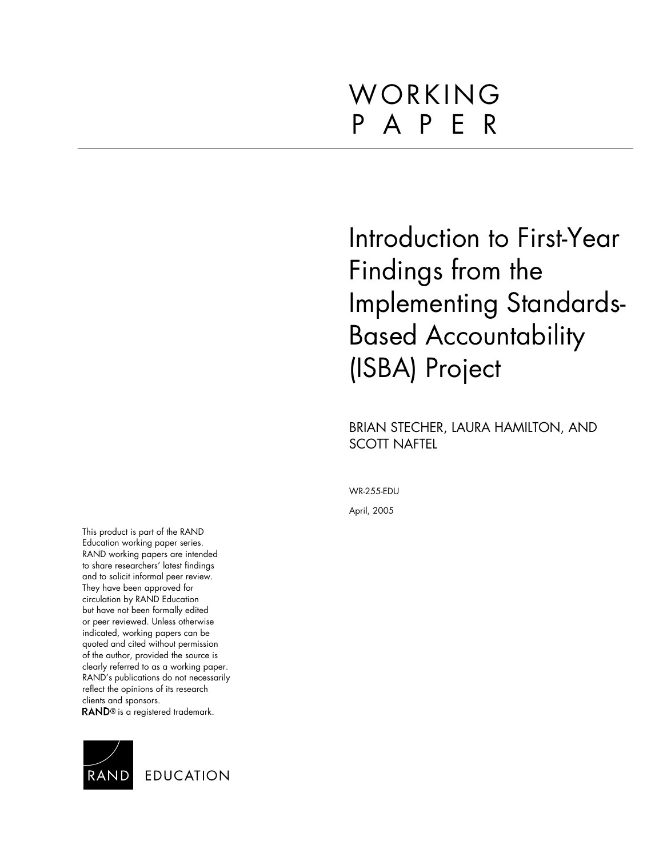# WORKING P A P E R

Introduction to First-Year Findings from the Implementing Standards-Based Accountability (ISBA) Project

BRIAN STECHER, LAURA HAMILTON, AND SCOTT NAFTEL

WR-255-EDU

April, 2005

This product is part of the RAND Education working paper series. RAND working papers are intended to share researchers' latest findings and to solicit informal peer review. They have been approved for circulation by RAND Education but have not been formally edited or peer reviewed. Unless otherwise indicated, working papers can be quoted and cited without permission of the author, provided the source is clearly referred to as a working paper. RAND's publications do not necessarily reflect the opinions of its research clients and sponsors.

RAND<sup>®</sup> is a registered trademark.

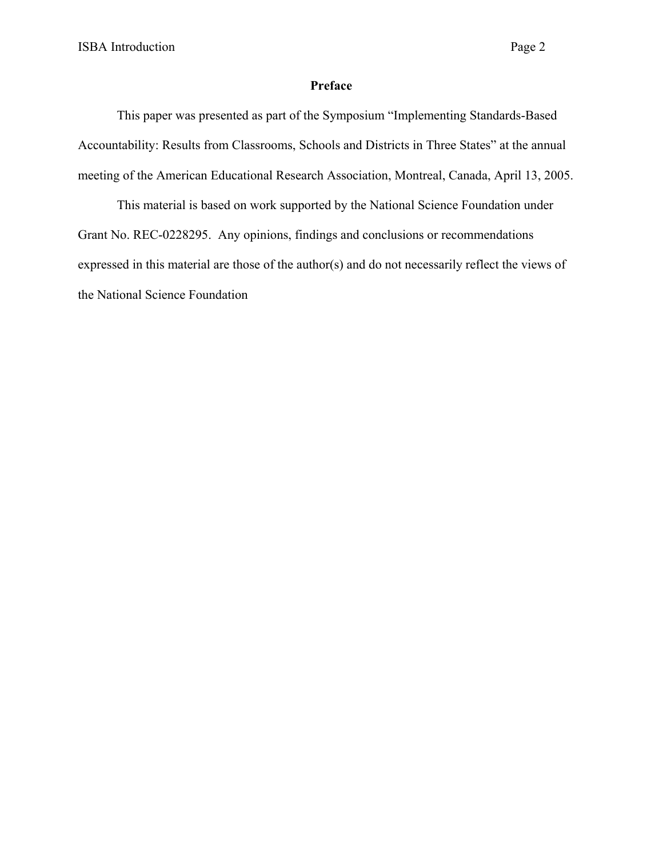# **Preface**

This paper was presented as part of the Symposium "Implementing Standards-Based Accountability: Results from Classrooms, Schools and Districts in Three States" at the annual meeting of the American Educational Research Association, Montreal, Canada, April 13, 2005.

This material is based on work supported by the National Science Foundation under Grant No. REC-0228295. Any opinions, findings and conclusions or recommendations expressed in this material are those of the author(s) and do not necessarily reflect the views of the National Science Foundation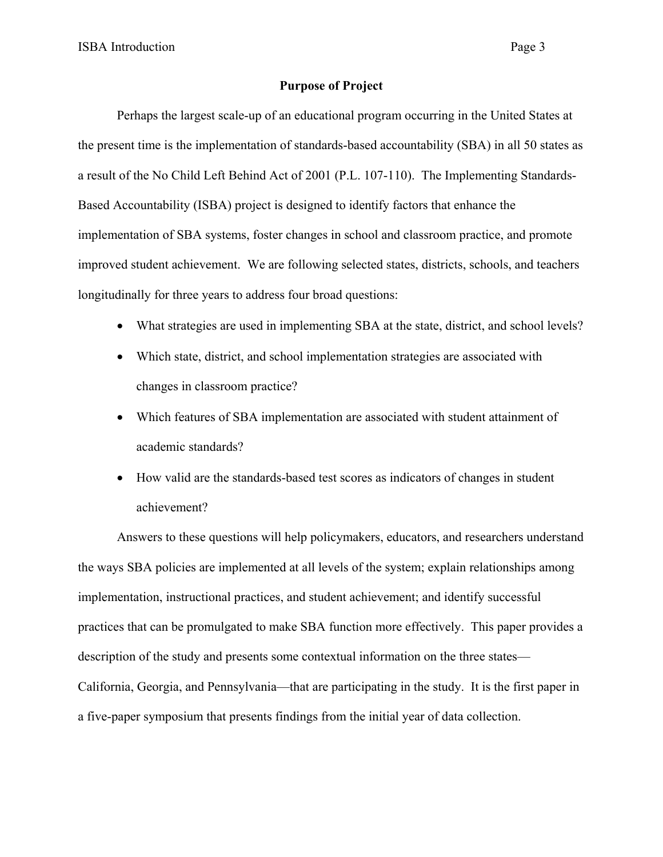ISBA Introduction Page 3

#### **Purpose of Project**

Perhaps the largest scale-up of an educational program occurring in the United States at the present time is the implementation of standards-based accountability (SBA) in all 50 states as a result of the No Child Left Behind Act of 2001 (P.L. 107-110). The Implementing Standards-Based Accountability (ISBA) project is designed to identify factors that enhance the implementation of SBA systems, foster changes in school and classroom practice, and promote improved student achievement. We are following selected states, districts, schools, and teachers longitudinally for three years to address four broad questions:

- What strategies are used in implementing SBA at the state, district, and school levels?
- Which state, district, and school implementation strategies are associated with changes in classroom practice?
- Which features of SBA implementation are associated with student attainment of academic standards?
- How valid are the standards-based test scores as indicators of changes in student achievement?

Answers to these questions will help policymakers, educators, and researchers understand the ways SBA policies are implemented at all levels of the system; explain relationships among implementation, instructional practices, and student achievement; and identify successful practices that can be promulgated to make SBA function more effectively. This paper provides a description of the study and presents some contextual information on the three states— California, Georgia, and Pennsylvania—that are participating in the study. It is the first paper in a five-paper symposium that presents findings from the initial year of data collection.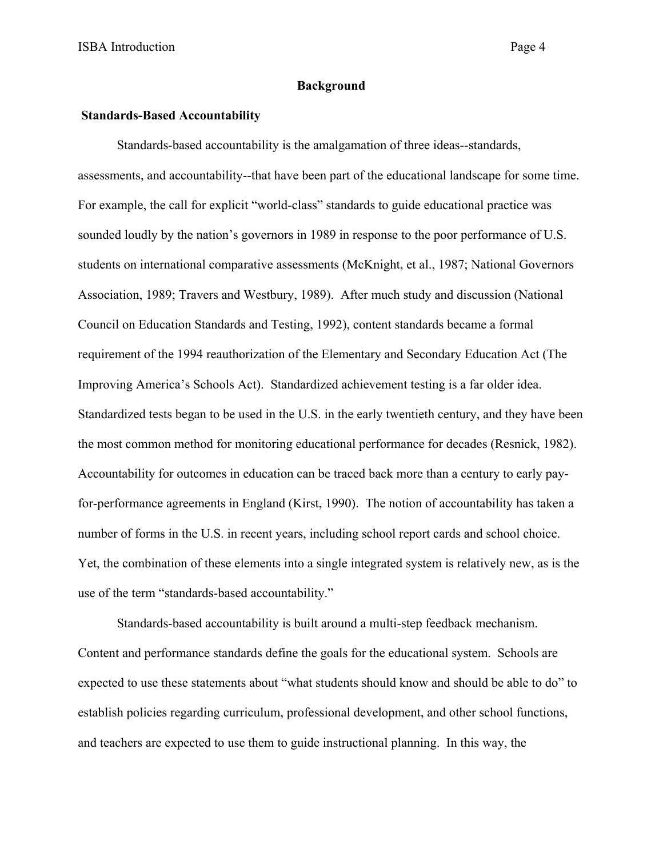#### **Background**

### **Standards-Based Accountability**

Standards-based accountability is the amalgamation of three ideas--standards, assessments, and accountability--that have been part of the educational landscape for some time. For example, the call for explicit "world-class" standards to guide educational practice was sounded loudly by the nation's governors in 1989 in response to the poor performance of U.S. students on international comparative assessments (McKnight, et al., 1987; National Governors Association, 1989; Travers and Westbury, 1989). After much study and discussion (National Council on Education Standards and Testing, 1992), content standards became a formal requirement of the 1994 reauthorization of the Elementary and Secondary Education Act (The Improving America's Schools Act). Standardized achievement testing is a far older idea. Standardized tests began to be used in the U.S. in the early twentieth century, and they have been the most common method for monitoring educational performance for decades (Resnick, 1982). Accountability for outcomes in education can be traced back more than a century to early payfor-performance agreements in England (Kirst, 1990). The notion of accountability has taken a number of forms in the U.S. in recent years, including school report cards and school choice. Yet, the combination of these elements into a single integrated system is relatively new, as is the use of the term "standards-based accountability."

Standards-based accountability is built around a multi-step feedback mechanism. Content and performance standards define the goals for the educational system. Schools are expected to use these statements about "what students should know and should be able to do" to establish policies regarding curriculum, professional development, and other school functions, and teachers are expected to use them to guide instructional planning. In this way, the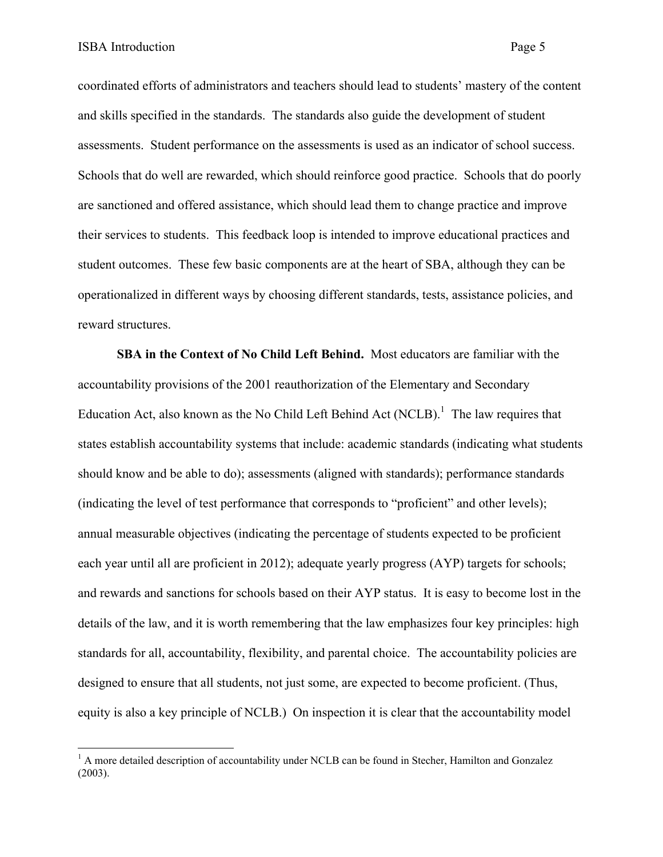coordinated efforts of administrators and teachers should lead to students' mastery of the content and skills specified in the standards. The standards also guide the development of student assessments. Student performance on the assessments is used as an indicator of school success. Schools that do well are rewarded, which should reinforce good practice. Schools that do poorly are sanctioned and offered assistance, which should lead them to change practice and improve their services to students. This feedback loop is intended to improve educational practices and student outcomes. These few basic components are at the heart of SBA, although they can be operationalized in different ways by choosing different standards, tests, assistance policies, and reward structures.

**SBA in the Context of No Child Left Behind.** Most educators are familiar with the accountability provisions of the 2001 reauthorization of the Elementary and Secondary Education Act, also known as the No Child Left Behind Act (NCLB).<sup>1</sup> The law requires that states establish accountability systems that include: academic standards (indicating what students should know and be able to do); assessments (aligned with standards); performance standards (indicating the level of test performance that corresponds to "proficient" and other levels); annual measurable objectives (indicating the percentage of students expected to be proficient each year until all are proficient in 2012); adequate yearly progress (AYP) targets for schools; and rewards and sanctions for schools based on their AYP status. It is easy to become lost in the details of the law, and it is worth remembering that the law emphasizes four key principles: high standards for all, accountability, flexibility, and parental choice. The accountability policies are designed to ensure that all students, not just some, are expected to become proficient. (Thus, equity is also a key principle of NCLB.) On inspection it is clear that the accountability model

<sup>&</sup>lt;sup>1</sup> A more detailed description of accountability under NCLB can be found in Stecher, Hamilton and Gonzalez (2003).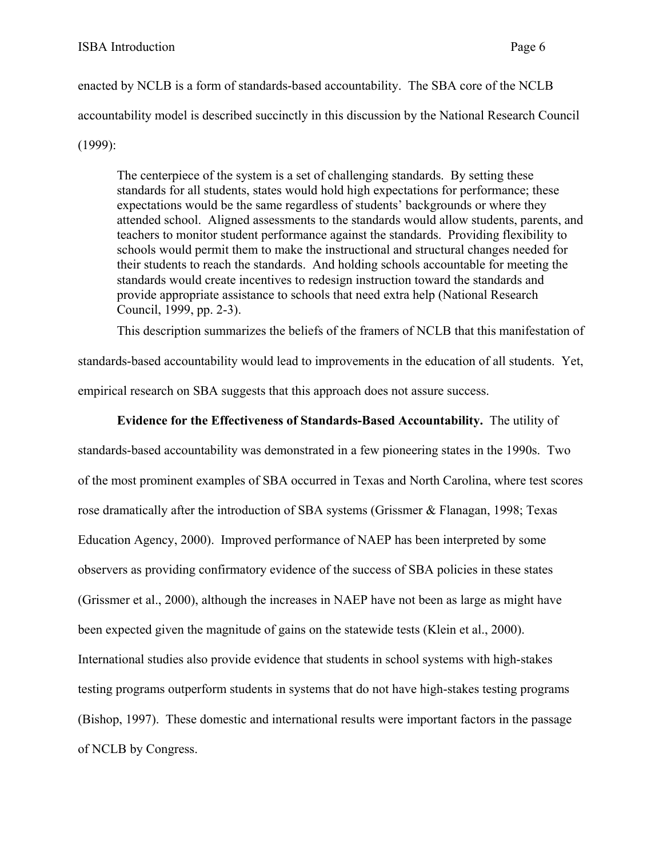enacted by NCLB is a form of standards-based accountability. The SBA core of the NCLB accountability model is described succinctly in this discussion by the National Research Council (1999):

The centerpiece of the system is a set of challenging standards. By setting these standards for all students, states would hold high expectations for performance; these expectations would be the same regardless of students' backgrounds or where they attended school. Aligned assessments to the standards would allow students, parents, and teachers to monitor student performance against the standards. Providing flexibility to schools would permit them to make the instructional and structural changes needed for their students to reach the standards. And holding schools accountable for meeting the standards would create incentives to redesign instruction toward the standards and provide appropriate assistance to schools that need extra help (National Research Council, 1999, pp. 2-3).

This description summarizes the beliefs of the framers of NCLB that this manifestation of

standards-based accountability would lead to improvements in the education of all students. Yet, empirical research on SBA suggests that this approach does not assure success.

# **Evidence for the Effectiveness of Standards-Based Accountability.** The utility of

standards-based accountability was demonstrated in a few pioneering states in the 1990s. Two of the most prominent examples of SBA occurred in Texas and North Carolina, where test scores rose dramatically after the introduction of SBA systems (Grissmer & Flanagan, 1998; Texas Education Agency, 2000). Improved performance of NAEP has been interpreted by some observers as providing confirmatory evidence of the success of SBA policies in these states (Grissmer et al., 2000), although the increases in NAEP have not been as large as might have been expected given the magnitude of gains on the statewide tests (Klein et al., 2000). International studies also provide evidence that students in school systems with high-stakes testing programs outperform students in systems that do not have high-stakes testing programs (Bishop, 1997). These domestic and international results were important factors in the passage of NCLB by Congress.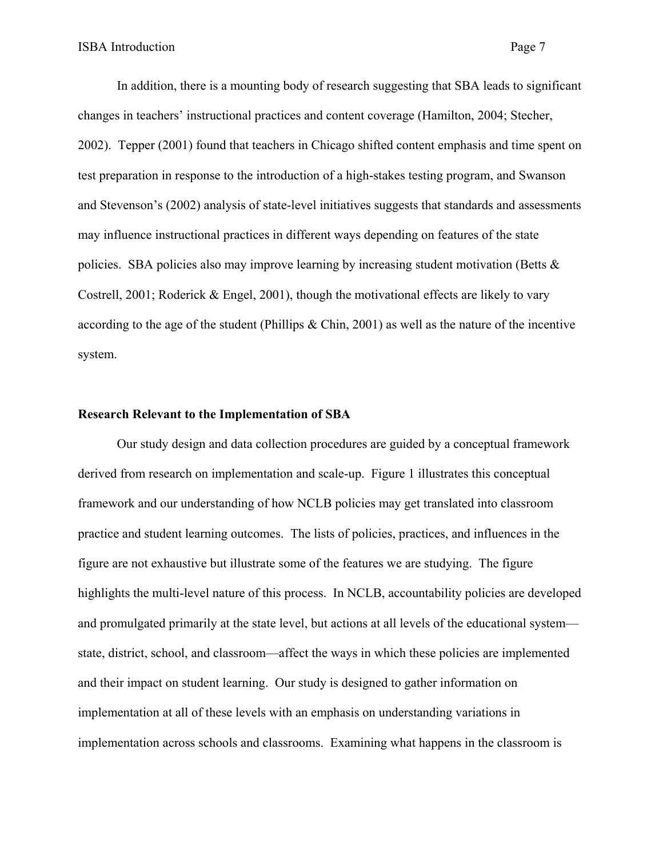In addition, there is a mounting body of research suggesting that SBA leads to significant changes in teachers' instructional practices and content coverage (Hamilton, 2004; Stecher, 2002). Tepper (2001) found that teachers in Chicago shifted content emphasis and time spent on test preparation in response to the introduction of a high-stakes testing program, and Swanson and Stevenson's (2002) analysis of state-level initiatives suggests that standards and assessments may influence instructional practices in different ways depending on features of the state policies. SBA policies also may improve learning by increasing student motivation (Betts  $\&$ Costrell, 2001; Roderick & Engel, 2001), though the motivational effects are likely to vary according to the age of the student (Phillips & Chin, 2001) as well as the nature of the incentive system.

#### **Research Relevant to the Implementation of SBA**

Our study design and data collection procedures are guided by a conceptual framework derived from research on implementation and scale-up. Figure 1 illustrates this conceptual framework and our understanding of how NCLB policies may get translated into classroom practice and student learning outcomes. The lists of policies, practices, and influences in the figure are not exhaustive but illustrate some of the features we are studying. The figure highlights the multi-level nature of this process. In NCLB, accountability policies are developed and promulgated primarily at the state level, but actions at all levels of the educational system state, district, school, and classroom—affect the ways in which these policies are implemented and their impact on student learning. Our study is designed to gather information on implementation at all of these levels with an emphasis on understanding variations in implementation across schools and classrooms. Examining what happens in the classroom is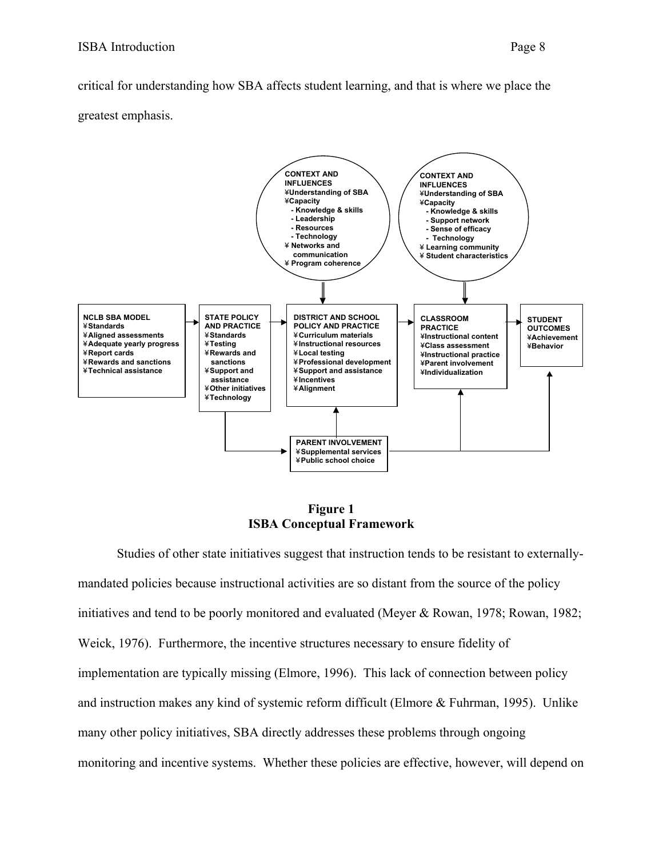critical for understanding how SBA affects student learning, and that is where we place the greatest emphasis.



**Figure 1 ISBA Conceptual Framework** 

Studies of other state initiatives suggest that instruction tends to be resistant to externallymandated policies because instructional activities are so distant from the source of the policy initiatives and tend to be poorly monitored and evaluated (Meyer & Rowan, 1978; Rowan, 1982; Weick, 1976). Furthermore, the incentive structures necessary to ensure fidelity of implementation are typically missing (Elmore, 1996). This lack of connection between policy and instruction makes any kind of systemic reform difficult (Elmore & Fuhrman, 1995). Unlike many other policy initiatives, SBA directly addresses these problems through ongoing monitoring and incentive systems. Whether these policies are effective, however, will depend on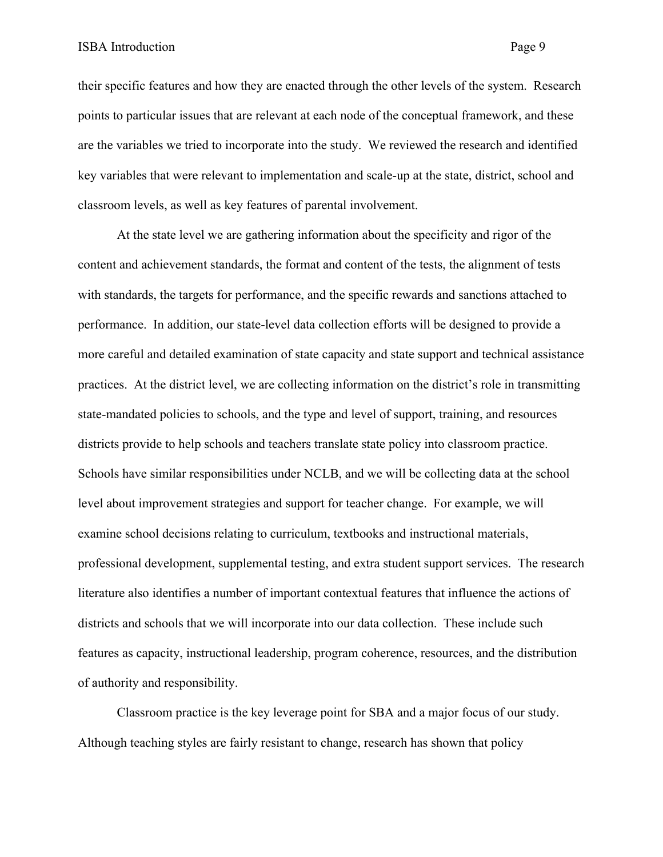their specific features and how they are enacted through the other levels of the system. Research points to particular issues that are relevant at each node of the conceptual framework, and these are the variables we tried to incorporate into the study. We reviewed the research and identified key variables that were relevant to implementation and scale-up at the state, district, school and classroom levels, as well as key features of parental involvement.

At the state level we are gathering information about the specificity and rigor of the content and achievement standards, the format and content of the tests, the alignment of tests with standards, the targets for performance, and the specific rewards and sanctions attached to performance. In addition, our state-level data collection efforts will be designed to provide a more careful and detailed examination of state capacity and state support and technical assistance practices. At the district level, we are collecting information on the district's role in transmitting state-mandated policies to schools, and the type and level of support, training, and resources districts provide to help schools and teachers translate state policy into classroom practice. Schools have similar responsibilities under NCLB, and we will be collecting data at the school level about improvement strategies and support for teacher change. For example, we will examine school decisions relating to curriculum, textbooks and instructional materials, professional development, supplemental testing, and extra student support services. The research literature also identifies a number of important contextual features that influence the actions of districts and schools that we will incorporate into our data collection. These include such features as capacity, instructional leadership, program coherence, resources, and the distribution of authority and responsibility.

Classroom practice is the key leverage point for SBA and a major focus of our study. Although teaching styles are fairly resistant to change, research has shown that policy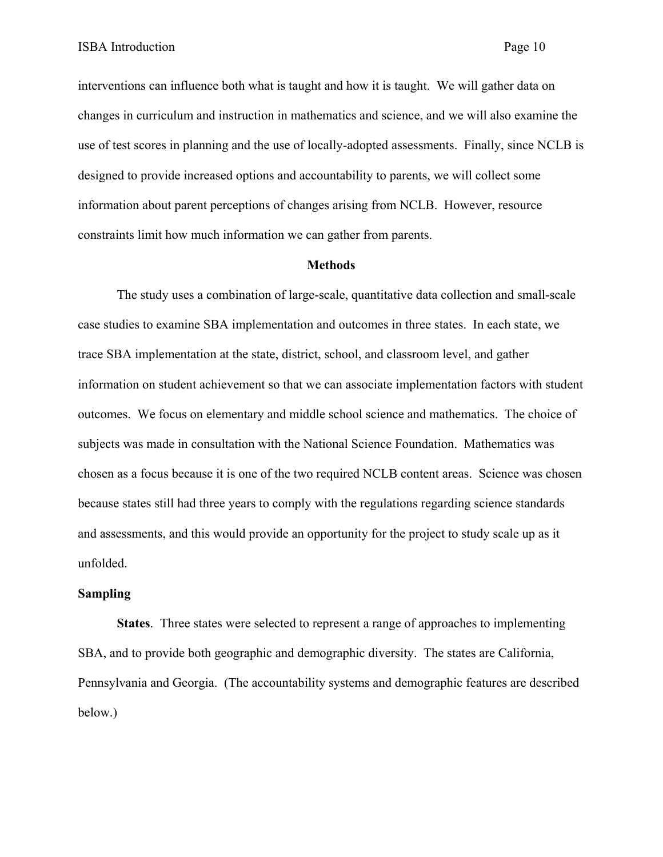interventions can influence both what is taught and how it is taught. We will gather data on changes in curriculum and instruction in mathematics and science, and we will also examine the use of test scores in planning and the use of locally-adopted assessments. Finally, since NCLB is designed to provide increased options and accountability to parents, we will collect some information about parent perceptions of changes arising from NCLB. However, resource constraints limit how much information we can gather from parents.

#### **Methods**

The study uses a combination of large-scale, quantitative data collection and small-scale case studies to examine SBA implementation and outcomes in three states. In each state, we trace SBA implementation at the state, district, school, and classroom level, and gather information on student achievement so that we can associate implementation factors with student outcomes. We focus on elementary and middle school science and mathematics. The choice of subjects was made in consultation with the National Science Foundation. Mathematics was chosen as a focus because it is one of the two required NCLB content areas. Science was chosen because states still had three years to comply with the regulations regarding science standards and assessments, and this would provide an opportunity for the project to study scale up as it unfolded.

#### **Sampling**

**States**. Three states were selected to represent a range of approaches to implementing SBA, and to provide both geographic and demographic diversity. The states are California, Pennsylvania and Georgia. (The accountability systems and demographic features are described below.)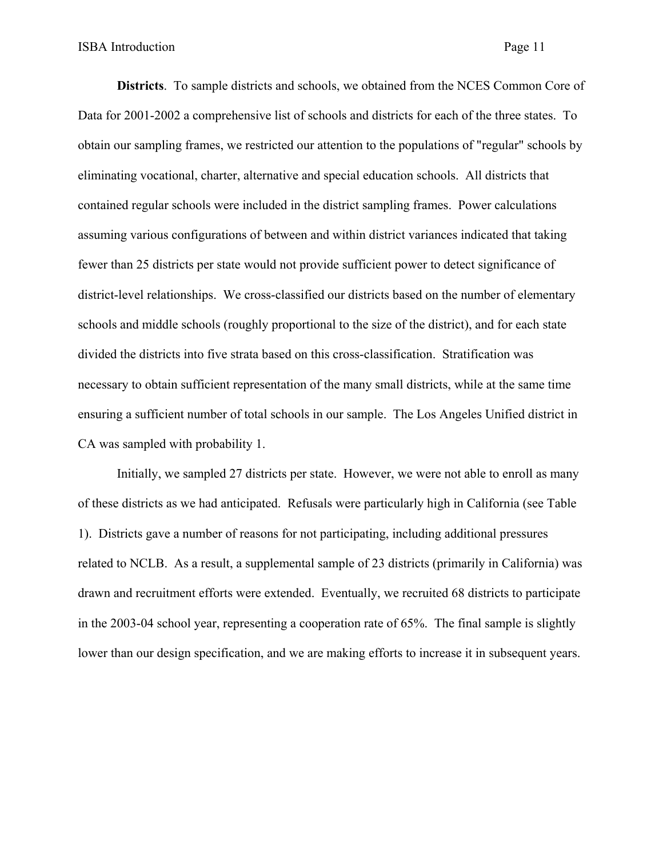**Districts**. To sample districts and schools, we obtained from the NCES Common Core of Data for 2001-2002 a comprehensive list of schools and districts for each of the three states. To obtain our sampling frames, we restricted our attention to the populations of "regular" schools by eliminating vocational, charter, alternative and special education schools. All districts that contained regular schools were included in the district sampling frames. Power calculations assuming various configurations of between and within district variances indicated that taking fewer than 25 districts per state would not provide sufficient power to detect significance of district-level relationships. We cross-classified our districts based on the number of elementary schools and middle schools (roughly proportional to the size of the district), and for each state divided the districts into five strata based on this cross-classification. Stratification was necessary to obtain sufficient representation of the many small districts, while at the same time ensuring a sufficient number of total schools in our sample. The Los Angeles Unified district in CA was sampled with probability 1.

Initially, we sampled 27 districts per state. However, we were not able to enroll as many of these districts as we had anticipated. Refusals were particularly high in California (see Table 1). Districts gave a number of reasons for not participating, including additional pressures related to NCLB. As a result, a supplemental sample of 23 districts (primarily in California) was drawn and recruitment efforts were extended. Eventually, we recruited 68 districts to participate in the 2003-04 school year, representing a cooperation rate of 65%. The final sample is slightly lower than our design specification, and we are making efforts to increase it in subsequent years.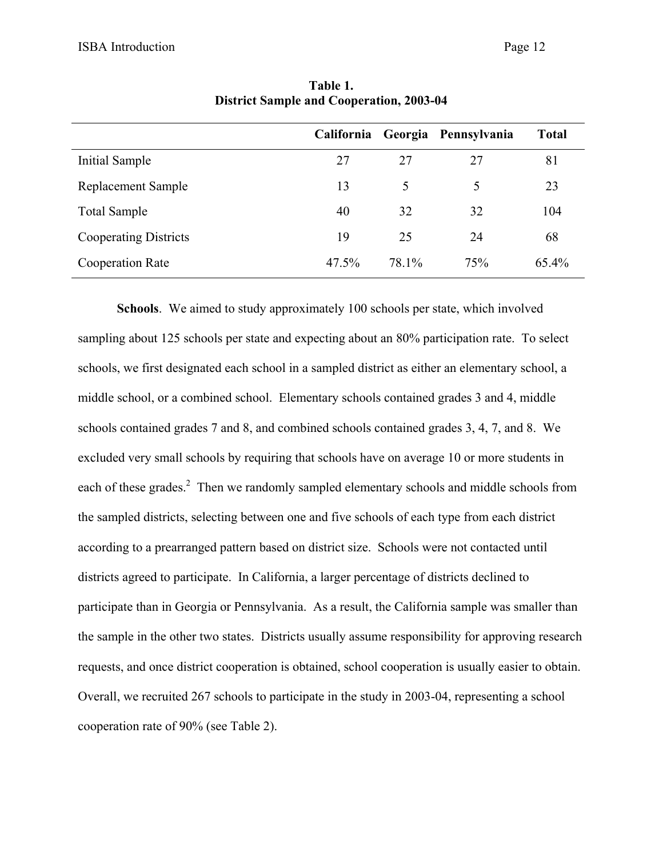|                              |       |       | California Georgia Pennsylvania | <b>Total</b> |
|------------------------------|-------|-------|---------------------------------|--------------|
| Initial Sample               | 27    | 27    | 27                              | 81           |
| Replacement Sample           | 13    | 5     | 5                               | 23           |
| <b>Total Sample</b>          | 40    | 32    | 32                              | 104          |
| <b>Cooperating Districts</b> | 19    | 25    | 24                              | 68           |
| <b>Cooperation Rate</b>      | 47.5% | 78.1% | 75%                             | 65.4%        |

**Table 1. District Sample and Cooperation, 2003-04** 

**Schools**. We aimed to study approximately 100 schools per state, which involved sampling about 125 schools per state and expecting about an 80% participation rate. To select schools, we first designated each school in a sampled district as either an elementary school, a middle school, or a combined school. Elementary schools contained grades 3 and 4, middle schools contained grades 7 and 8, and combined schools contained grades 3, 4, 7, and 8. We excluded very small schools by requiring that schools have on average 10 or more students in each of these grades.<sup>2</sup> Then we randomly sampled elementary schools and middle schools from the sampled districts, selecting between one and five schools of each type from each district according to a prearranged pattern based on district size. Schools were not contacted until districts agreed to participate. In California, a larger percentage of districts declined to participate than in Georgia or Pennsylvania. As a result, the California sample was smaller than the sample in the other two states. Districts usually assume responsibility for approving research requests, and once district cooperation is obtained, school cooperation is usually easier to obtain. Overall, we recruited 267 schools to participate in the study in 2003-04, representing a school cooperation rate of 90% (see Table 2).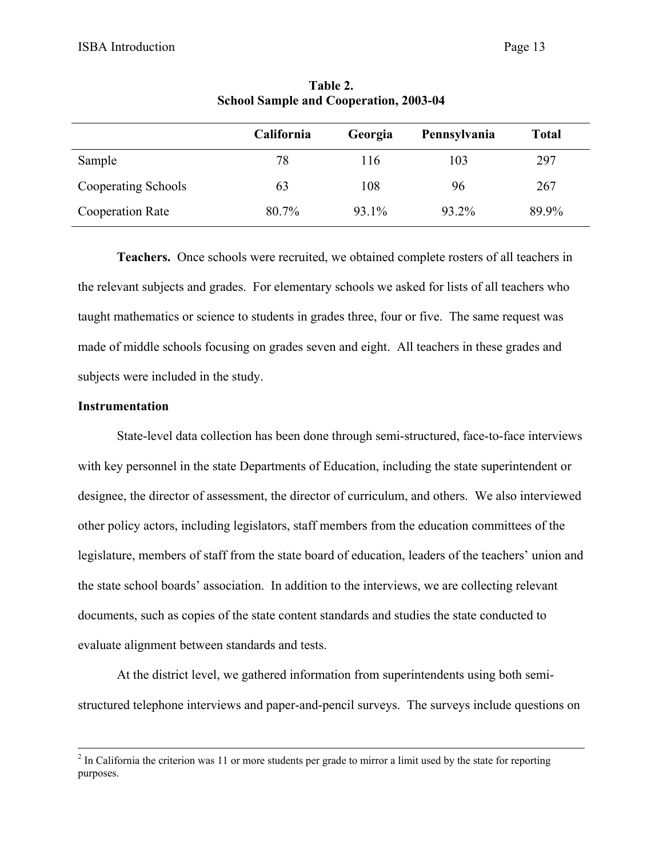|                         | <b>California</b> | Georgia | Pennsylvania | <b>Total</b> |
|-------------------------|-------------------|---------|--------------|--------------|
| Sample                  | 78                | 116     | 103          | 297          |
| Cooperating Schools     | 63                | 108     | 96           | 267          |
| <b>Cooperation Rate</b> | 80.7%             | 93.1%   | 93.2%        | 89.9%        |

**Table 2. School Sample and Cooperation, 2003-04** 

 **Teachers.** Once schools were recruited, we obtained complete rosters of all teachers in the relevant subjects and grades. For elementary schools we asked for lists of all teachers who taught mathematics or science to students in grades three, four or five. The same request was made of middle schools focusing on grades seven and eight. All teachers in these grades and subjects were included in the study.

#### **Instrumentation**

State-level data collection has been done through semi-structured, face-to-face interviews with key personnel in the state Departments of Education, including the state superintendent or designee, the director of assessment, the director of curriculum, and others. We also interviewed other policy actors, including legislators, staff members from the education committees of the legislature, members of staff from the state board of education, leaders of the teachers' union and the state school boards' association. In addition to the interviews, we are collecting relevant documents, such as copies of the state content standards and studies the state conducted to evaluate alignment between standards and tests.

At the district level, we gathered information from superintendents using both semistructured telephone interviews and paper-and-pencil surveys. The surveys include questions on

 $\frac{1}{2}$  $<sup>2</sup>$  In California the criterion was 11 or more students per grade to mirror a limit used by the state for reporting</sup> purposes.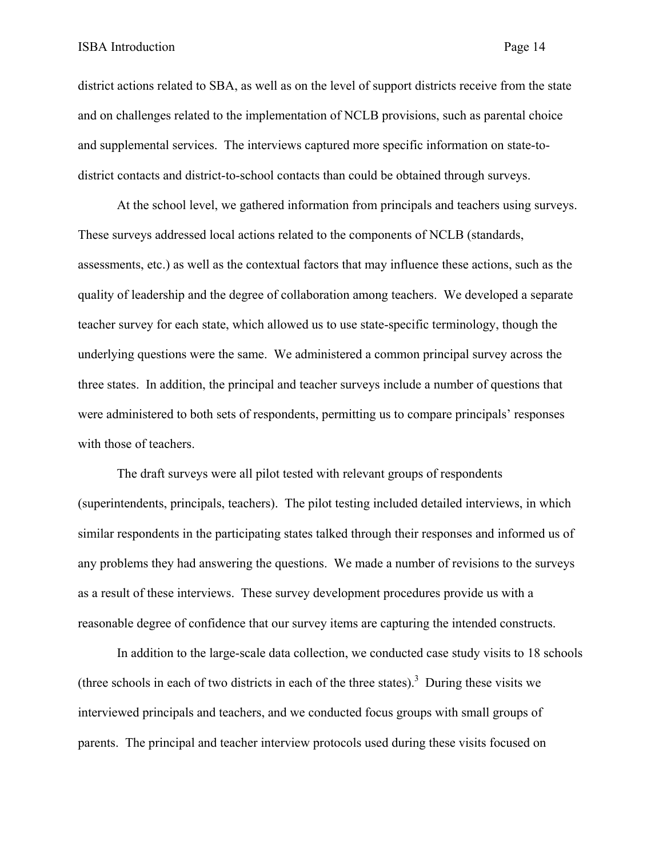district actions related to SBA, as well as on the level of support districts receive from the state and on challenges related to the implementation of NCLB provisions, such as parental choice and supplemental services. The interviews captured more specific information on state-todistrict contacts and district-to-school contacts than could be obtained through surveys.

At the school level, we gathered information from principals and teachers using surveys. These surveys addressed local actions related to the components of NCLB (standards, assessments, etc.) as well as the contextual factors that may influence these actions, such as the quality of leadership and the degree of collaboration among teachers. We developed a separate teacher survey for each state, which allowed us to use state-specific terminology, though the underlying questions were the same. We administered a common principal survey across the three states. In addition, the principal and teacher surveys include a number of questions that were administered to both sets of respondents, permitting us to compare principals' responses with those of teachers.

The draft surveys were all pilot tested with relevant groups of respondents (superintendents, principals, teachers). The pilot testing included detailed interviews, in which similar respondents in the participating states talked through their responses and informed us of any problems they had answering the questions. We made a number of revisions to the surveys as a result of these interviews. These survey development procedures provide us with a reasonable degree of confidence that our survey items are capturing the intended constructs.

In addition to the large-scale data collection, we conducted case study visits to 18 schools (three schools in each of two districts in each of the three states).<sup>3</sup> During these visits we interviewed principals and teachers, and we conducted focus groups with small groups of parents. The principal and teacher interview protocols used during these visits focused on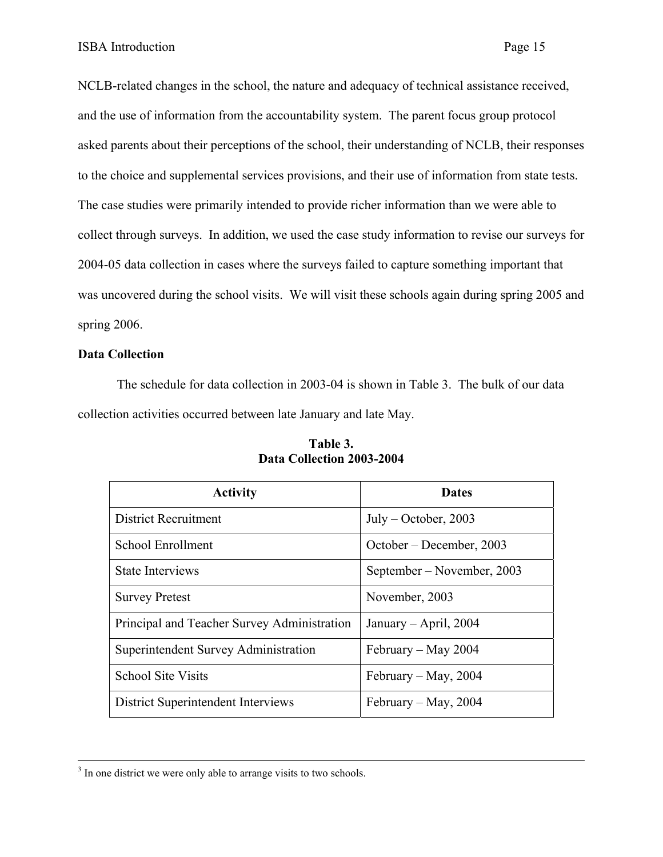NCLB-related changes in the school, the nature and adequacy of technical assistance received, and the use of information from the accountability system. The parent focus group protocol asked parents about their perceptions of the school, their understanding of NCLB, their responses to the choice and supplemental services provisions, and their use of information from state tests. The case studies were primarily intended to provide richer information than we were able to collect through surveys. In addition, we used the case study information to revise our surveys for 2004-05 data collection in cases where the surveys failed to capture something important that was uncovered during the school visits. We will visit these schools again during spring 2005 and spring 2006.

# **Data Collection**

The schedule for data collection in 2003-04 is shown in Table 3. The bulk of our data collection activities occurred between late January and late May.

| <b>Activity</b>                             | <b>Dates</b>               |
|---------------------------------------------|----------------------------|
| <b>District Recruitment</b>                 | $July - October, 2003$     |
| School Enrollment                           | October – December, 2003   |
| <b>State Interviews</b>                     | September – November, 2003 |
| <b>Survey Pretest</b>                       | November, 2003             |
| Principal and Teacher Survey Administration | January – April, $2004$    |
| Superintendent Survey Administration        | February – May 2004        |
| <b>School Site Visits</b>                   | February – May, 2004       |
| <b>District Superintendent Interviews</b>   | February – May, $2004$     |

| Table 3.                  |  |  |  |
|---------------------------|--|--|--|
| Data Collection 2003-2004 |  |  |  |

<sup>&</sup>lt;sup>3</sup> <sup>3</sup> In one district we were only able to arrange visits to two schools.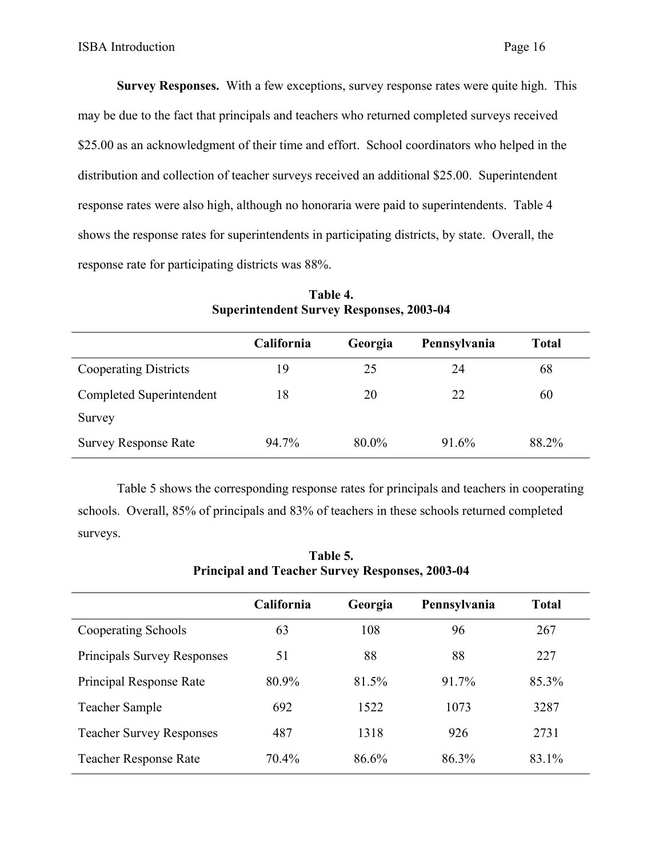**Survey Responses.** With a few exceptions, survey response rates were quite high. This may be due to the fact that principals and teachers who returned completed surveys received \$25.00 as an acknowledgment of their time and effort. School coordinators who helped in the distribution and collection of teacher surveys received an additional \$25.00. Superintendent response rates were also high, although no honoraria were paid to superintendents. Table 4 shows the response rates for superintendents in participating districts, by state. Overall, the response rate for participating districts was 88%.

|                              | California | Georgia | Pennsylvania | <b>Total</b> |
|------------------------------|------------|---------|--------------|--------------|
| <b>Cooperating Districts</b> | 19         | 25      | 24           | 68           |
| Completed Superintendent     | 18         | 20      | 22           | 60           |
| Survey                       |            |         |              |              |
| <b>Survey Response Rate</b>  | 94.7%      | 80.0%   | 91.6%        | 88.2%        |

**Table 4. Superintendent Survey Responses, 2003-04** 

 Table 5 shows the corresponding response rates for principals and teachers in cooperating schools. Overall, 85% of principals and 83% of teachers in these schools returned completed surveys.

|                                    | California | Georgia | Pennsylvania | <b>Total</b> |
|------------------------------------|------------|---------|--------------|--------------|
| Cooperating Schools                | 63         | 108     | 96           | 267          |
| <b>Principals Survey Responses</b> | 51         | 88      | 88           | 227          |
| Principal Response Rate            | 80.9%      | 81.5%   | 91.7%        | 85.3%        |
| Teacher Sample                     | 692        | 1522    | 1073         | 3287         |
| <b>Teacher Survey Responses</b>    | 487        | 1318    | 926          | 2731         |
| <b>Teacher Response Rate</b>       | 70.4%      | 86.6%   | 86.3%        | 83.1%        |

**Table 5. Principal and Teacher Survey Responses, 2003-04**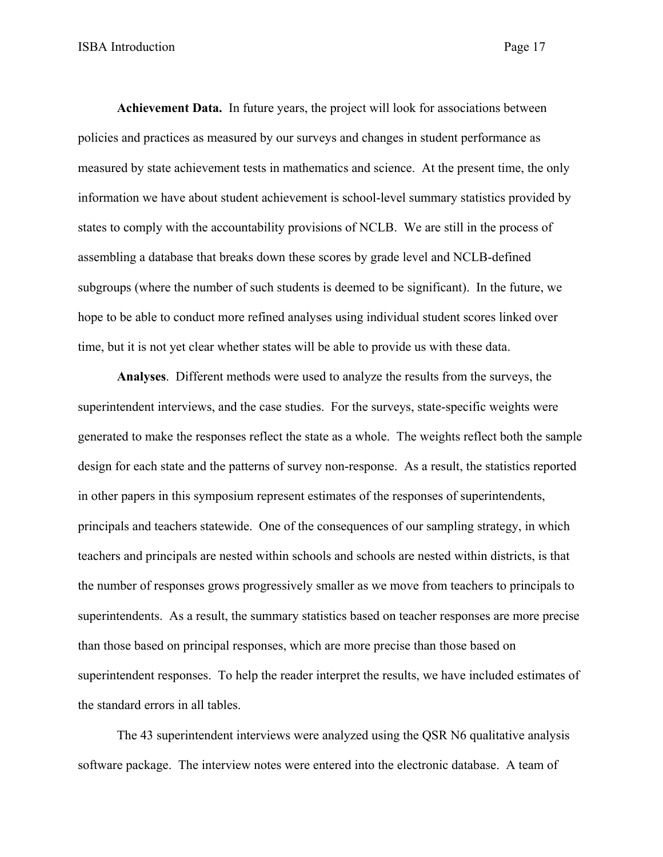**Achievement Data.** In future years, the project will look for associations between policies and practices as measured by our surveys and changes in student performance as measured by state achievement tests in mathematics and science. At the present time, the only information we have about student achievement is school-level summary statistics provided by states to comply with the accountability provisions of NCLB. We are still in the process of assembling a database that breaks down these scores by grade level and NCLB-defined subgroups (where the number of such students is deemed to be significant). In the future, we hope to be able to conduct more refined analyses using individual student scores linked over time, but it is not yet clear whether states will be able to provide us with these data.

**Analyses**. Different methods were used to analyze the results from the surveys, the superintendent interviews, and the case studies. For the surveys, state-specific weights were generated to make the responses reflect the state as a whole. The weights reflect both the sample design for each state and the patterns of survey non-response. As a result, the statistics reported in other papers in this symposium represent estimates of the responses of superintendents, principals and teachers statewide. One of the consequences of our sampling strategy, in which teachers and principals are nested within schools and schools are nested within districts, is that the number of responses grows progressively smaller as we move from teachers to principals to superintendents. As a result, the summary statistics based on teacher responses are more precise than those based on principal responses, which are more precise than those based on superintendent responses. To help the reader interpret the results, we have included estimates of the standard errors in all tables.

The 43 superintendent interviews were analyzed using the QSR N6 qualitative analysis software package. The interview notes were entered into the electronic database. A team of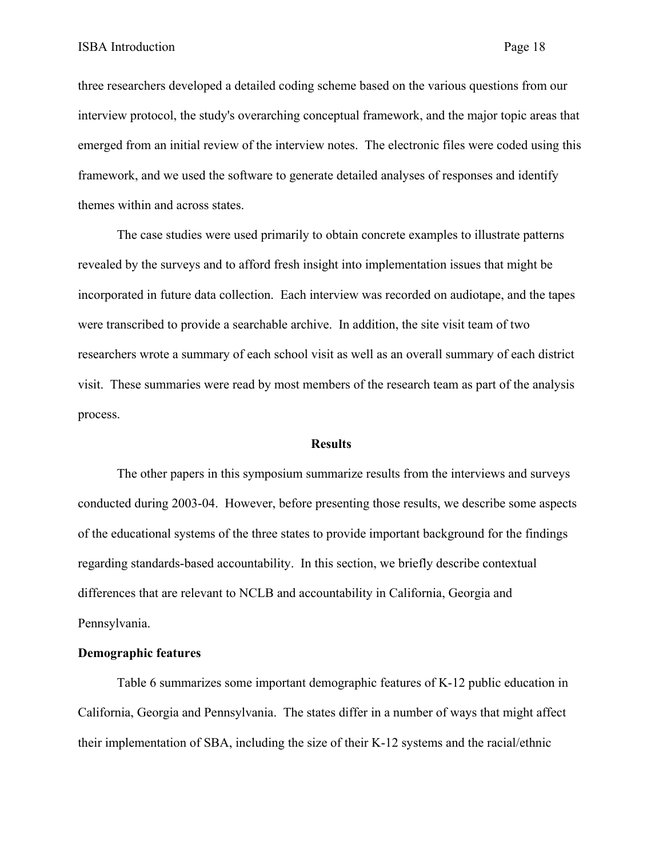three researchers developed a detailed coding scheme based on the various questions from our interview protocol, the study's overarching conceptual framework, and the major topic areas that emerged from an initial review of the interview notes. The electronic files were coded using this framework, and we used the software to generate detailed analyses of responses and identify themes within and across states.

The case studies were used primarily to obtain concrete examples to illustrate patterns revealed by the surveys and to afford fresh insight into implementation issues that might be incorporated in future data collection. Each interview was recorded on audiotape, and the tapes were transcribed to provide a searchable archive. In addition, the site visit team of two researchers wrote a summary of each school visit as well as an overall summary of each district visit. These summaries were read by most members of the research team as part of the analysis process.

#### **Results**

 The other papers in this symposium summarize results from the interviews and surveys conducted during 2003-04. However, before presenting those results, we describe some aspects of the educational systems of the three states to provide important background for the findings regarding standards-based accountability. In this section, we briefly describe contextual differences that are relevant to NCLB and accountability in California, Georgia and Pennsylvania.

#### **Demographic features**

 Table 6 summarizes some important demographic features of K-12 public education in California, Georgia and Pennsylvania. The states differ in a number of ways that might affect their implementation of SBA, including the size of their K-12 systems and the racial/ethnic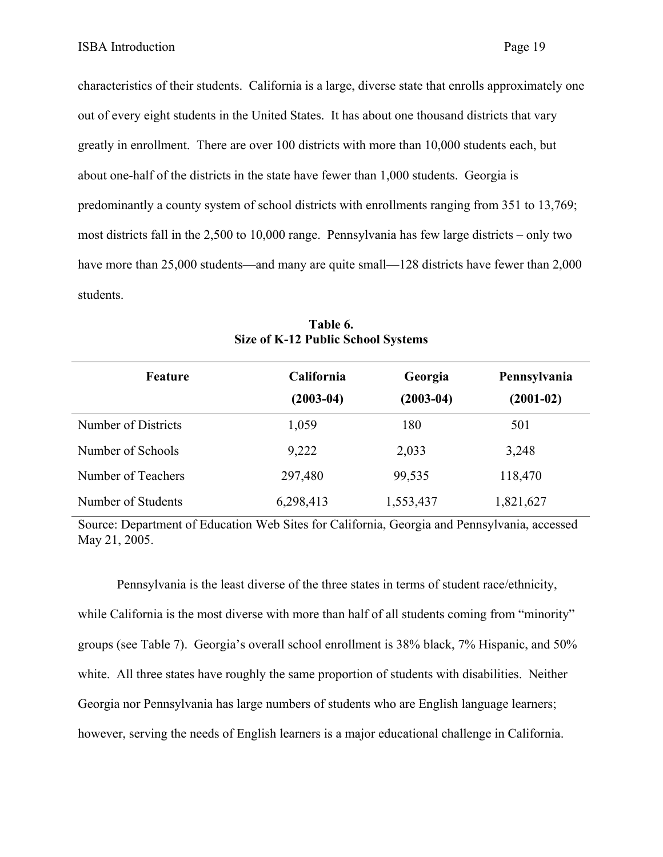characteristics of their students. California is a large, diverse state that enrolls approximately one out of every eight students in the United States. It has about one thousand districts that vary greatly in enrollment. There are over 100 districts with more than 10,000 students each, but about one-half of the districts in the state have fewer than 1,000 students. Georgia is predominantly a county system of school districts with enrollments ranging from 351 to 13,769; most districts fall in the 2,500 to 10,000 range. Pennsylvania has few large districts – only two have more than 25,000 students—and many are quite small—128 districts have fewer than 2,000 students.

| Feature             | <b>California</b><br>$(2003-04)$ | Georgia<br>$(2003-04)$ | Pennsylvania<br>$(2001-02)$ |
|---------------------|----------------------------------|------------------------|-----------------------------|
| Number of Districts | 1,059                            | 180                    | 501                         |
| Number of Schools   | 9,222                            | 2,033                  | 3,248                       |
| Number of Teachers  | 297,480                          | 99,535                 | 118,470                     |
| Number of Students  | 6,298,413                        | 1,553,437              | 1,821,627                   |

**Table 6. Size of K-12 Public School Systems** 

Source: Department of Education Web Sites for California, Georgia and Pennsylvania, accessed May 21, 2005.

Pennsylvania is the least diverse of the three states in terms of student race/ethnicity, while California is the most diverse with more than half of all students coming from "minority" groups (see Table 7). Georgia's overall school enrollment is 38% black, 7% Hispanic, and 50% white. All three states have roughly the same proportion of students with disabilities. Neither Georgia nor Pennsylvania has large numbers of students who are English language learners; however, serving the needs of English learners is a major educational challenge in California.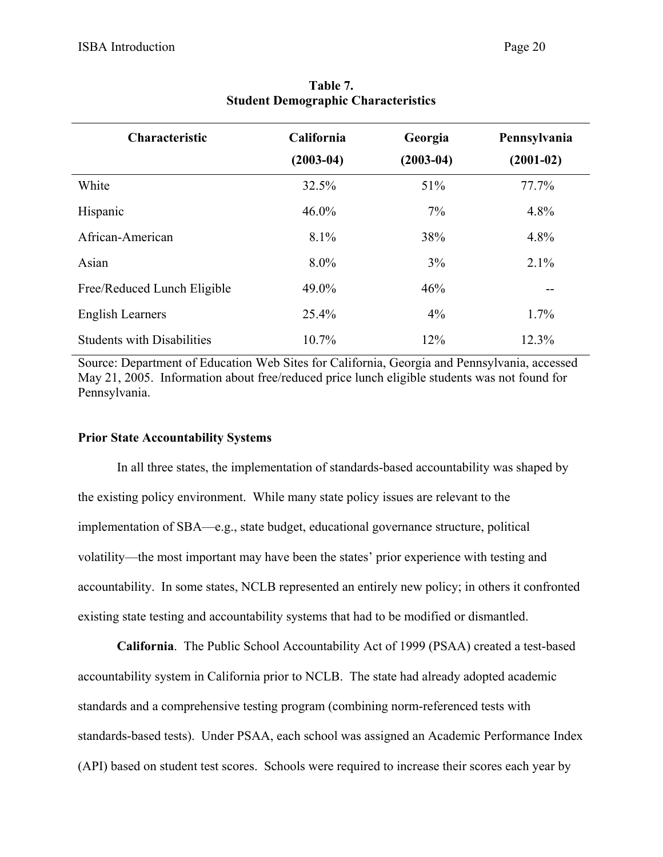| <b>Characteristic</b>             | California    | Georgia     | Pennsylvania |
|-----------------------------------|---------------|-------------|--------------|
|                                   | $(2003 - 04)$ | $(2003-04)$ | $(2001-02)$  |
| White                             | 32.5%         | 51%         | 77.7%        |
| Hispanic                          | $46.0\%$      | $7\%$       | 4.8%         |
| African-American                  | 8.1%          | 38%         | 4.8%         |
| Asian                             | $8.0\%$       | 3%          | 2.1%         |
| Free/Reduced Lunch Eligible       | 49.0%         | 46%         |              |
| <b>English Learners</b>           | 25.4%         | $4\%$       | $1.7\%$      |
| <b>Students with Disabilities</b> | 10.7%         | 12%         | 12.3%        |

# **Table 7. Student Demographic Characteristics**

Source: Department of Education Web Sites for California, Georgia and Pennsylvania, accessed May 21, 2005. Information about free/reduced price lunch eligible students was not found for Pennsylvania.

## **Prior State Accountability Systems**

In all three states, the implementation of standards-based accountability was shaped by the existing policy environment. While many state policy issues are relevant to the implementation of SBA—e.g., state budget, educational governance structure, political volatility—the most important may have been the states' prior experience with testing and accountability. In some states, NCLB represented an entirely new policy; in others it confronted existing state testing and accountability systems that had to be modified or dismantled.

**California**. The Public School Accountability Act of 1999 (PSAA) created a test-based accountability system in California prior to NCLB. The state had already adopted academic standards and a comprehensive testing program (combining norm-referenced tests with standards-based tests). Under PSAA, each school was assigned an Academic Performance Index (API) based on student test scores. Schools were required to increase their scores each year by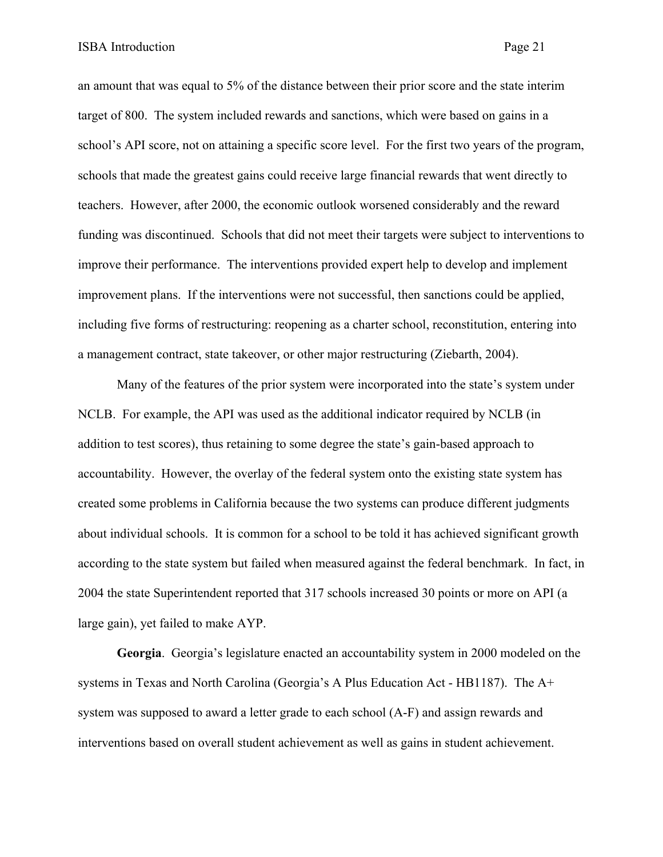an amount that was equal to 5% of the distance between their prior score and the state interim target of 800. The system included rewards and sanctions, which were based on gains in a school's API score, not on attaining a specific score level. For the first two years of the program, schools that made the greatest gains could receive large financial rewards that went directly to teachers. However, after 2000, the economic outlook worsened considerably and the reward funding was discontinued. Schools that did not meet their targets were subject to interventions to improve their performance. The interventions provided expert help to develop and implement improvement plans. If the interventions were not successful, then sanctions could be applied, including five forms of restructuring: reopening as a charter school, reconstitution, entering into a management contract, state takeover, or other major restructuring (Ziebarth, 2004).

Many of the features of the prior system were incorporated into the state's system under NCLB. For example, the API was used as the additional indicator required by NCLB (in addition to test scores), thus retaining to some degree the state's gain-based approach to accountability. However, the overlay of the federal system onto the existing state system has created some problems in California because the two systems can produce different judgments about individual schools. It is common for a school to be told it has achieved significant growth according to the state system but failed when measured against the federal benchmark. In fact, in 2004 the state Superintendent reported that 317 schools increased 30 points or more on API (a large gain), yet failed to make AYP.

**Georgia**. Georgia's legislature enacted an accountability system in 2000 modeled on the systems in Texas and North Carolina (Georgia's A Plus Education Act - HB1187). The A+ system was supposed to award a letter grade to each school (A-F) and assign rewards and interventions based on overall student achievement as well as gains in student achievement.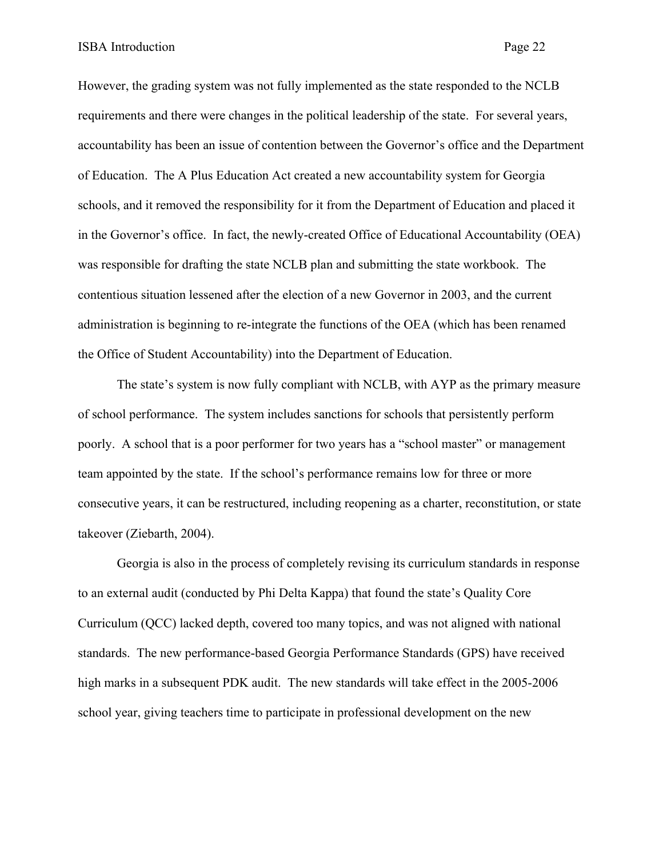However, the grading system was not fully implemented as the state responded to the NCLB requirements and there were changes in the political leadership of the state. For several years, accountability has been an issue of contention between the Governor's office and the Department of Education. The A Plus Education Act created a new accountability system for Georgia schools, and it removed the responsibility for it from the Department of Education and placed it in the Governor's office. In fact, the newly-created Office of Educational Accountability (OEA) was responsible for drafting the state NCLB plan and submitting the state workbook. The contentious situation lessened after the election of a new Governor in 2003, and the current administration is beginning to re-integrate the functions of the OEA (which has been renamed the Office of Student Accountability) into the Department of Education.

 The state's system is now fully compliant with NCLB, with AYP as the primary measure of school performance. The system includes sanctions for schools that persistently perform poorly. A school that is a poor performer for two years has a "school master" or management team appointed by the state. If the school's performance remains low for three or more consecutive years, it can be restructured, including reopening as a charter, reconstitution, or state takeover (Ziebarth, 2004).

Georgia is also in the process of completely revising its curriculum standards in response to an external audit (conducted by Phi Delta Kappa) that found the state's Quality Core Curriculum (QCC) lacked depth, covered too many topics, and was not aligned with national standards. The new performance-based Georgia Performance Standards (GPS) have received high marks in a subsequent PDK audit. The new standards will take effect in the 2005-2006 school year, giving teachers time to participate in professional development on the new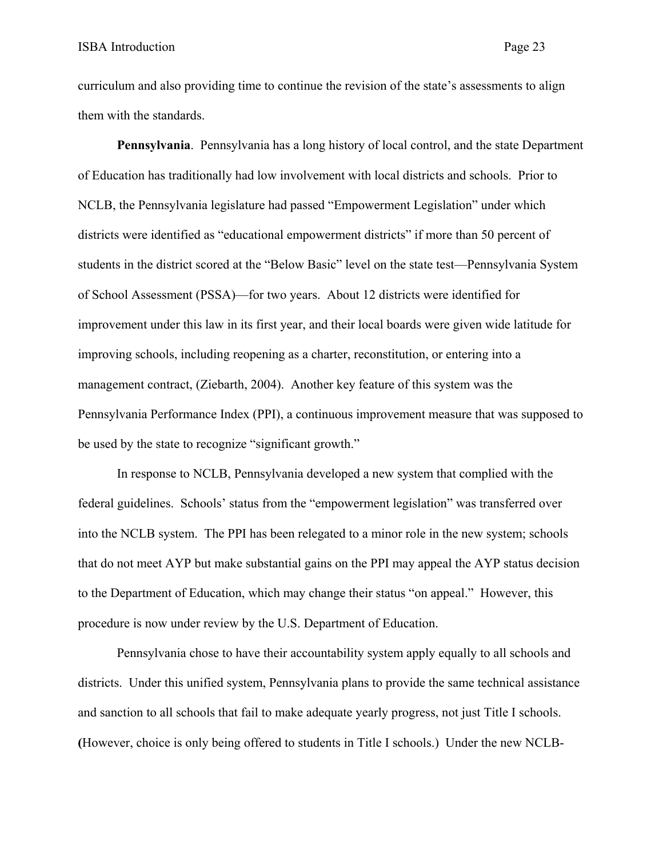curriculum and also providing time to continue the revision of the state's assessments to align them with the standards.

**Pennsylvania**. Pennsylvania has a long history of local control, and the state Department of Education has traditionally had low involvement with local districts and schools. Prior to NCLB, the Pennsylvania legislature had passed "Empowerment Legislation" under which districts were identified as "educational empowerment districts" if more than 50 percent of students in the district scored at the "Below Basic" level on the state test—Pennsylvania System of School Assessment (PSSA)—for two years. About 12 districts were identified for improvement under this law in its first year, and their local boards were given wide latitude for improving schools, including reopening as a charter, reconstitution, or entering into a management contract, (Ziebarth, 2004). Another key feature of this system was the Pennsylvania Performance Index (PPI), a continuous improvement measure that was supposed to be used by the state to recognize "significant growth."

In response to NCLB, Pennsylvania developed a new system that complied with the federal guidelines. Schools' status from the "empowerment legislation" was transferred over into the NCLB system. The PPI has been relegated to a minor role in the new system; schools that do not meet AYP but make substantial gains on the PPI may appeal the AYP status decision to the Department of Education, which may change their status "on appeal." However, this procedure is now under review by the U.S. Department of Education.

Pennsylvania chose to have their accountability system apply equally to all schools and districts. Under this unified system, Pennsylvania plans to provide the same technical assistance and sanction to all schools that fail to make adequate yearly progress, not just Title I schools. **(**However, choice is only being offered to students in Title I schools.) Under the new NCLB-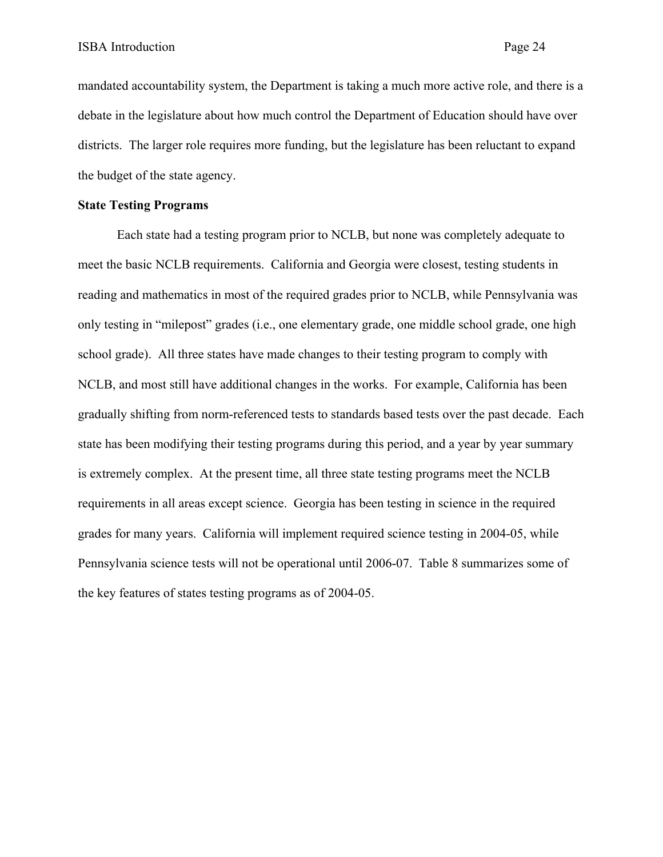mandated accountability system, the Department is taking a much more active role, and there is a debate in the legislature about how much control the Department of Education should have over districts. The larger role requires more funding, but the legislature has been reluctant to expand the budget of the state agency.

#### **State Testing Programs**

Each state had a testing program prior to NCLB, but none was completely adequate to meet the basic NCLB requirements. California and Georgia were closest, testing students in reading and mathematics in most of the required grades prior to NCLB, while Pennsylvania was only testing in "milepost" grades (i.e., one elementary grade, one middle school grade, one high school grade). All three states have made changes to their testing program to comply with NCLB, and most still have additional changes in the works. For example, California has been gradually shifting from norm-referenced tests to standards based tests over the past decade. Each state has been modifying their testing programs during this period, and a year by year summary is extremely complex. At the present time, all three state testing programs meet the NCLB requirements in all areas except science. Georgia has been testing in science in the required grades for many years. California will implement required science testing in 2004-05, while Pennsylvania science tests will not be operational until 2006-07. Table 8 summarizes some of the key features of states testing programs as of 2004-05.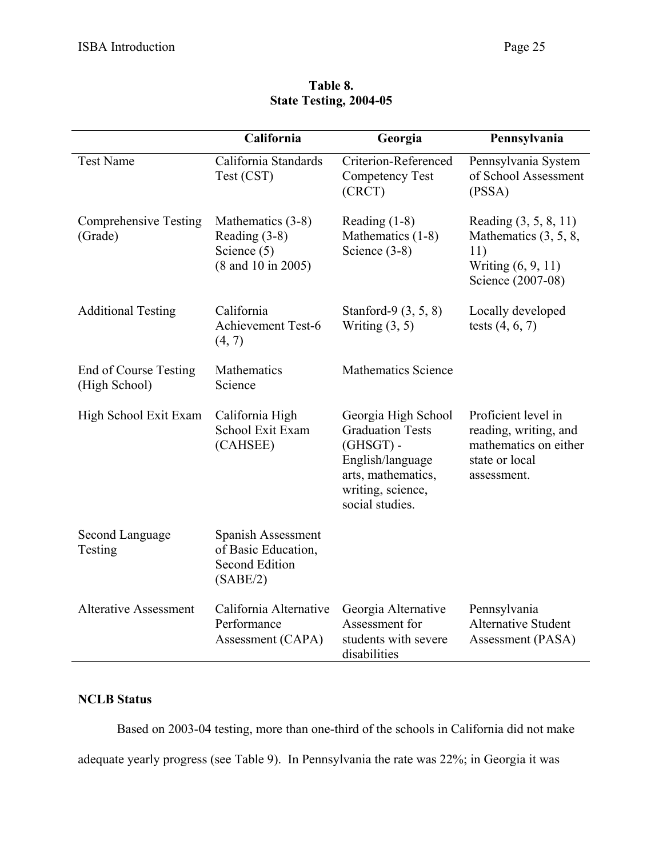|                                         | California                                                                     | Georgia                                                                                                                                         | Pennsylvania                                                                                           |
|-----------------------------------------|--------------------------------------------------------------------------------|-------------------------------------------------------------------------------------------------------------------------------------------------|--------------------------------------------------------------------------------------------------------|
| <b>Test Name</b>                        | California Standards<br>Test (CST)                                             | Criterion-Referenced<br><b>Competency Test</b><br>(CRCT)                                                                                        | Pennsylvania System<br>of School Assessment<br>(PSSA)                                                  |
| <b>Comprehensive Testing</b><br>(Grade) | Mathematics (3-8)<br>Reading (3-8)<br>Science (5)<br>(8 and 10 in 2005)        | Reading $(1-8)$<br>Mathematics (1-8)<br>Science $(3-8)$                                                                                         | Reading $(3, 5, 8, 11)$<br>Mathematics $(3, 5, 8,$<br>11)<br>Writing (6, 9, 11)<br>Science (2007-08)   |
| <b>Additional Testing</b>               | California<br><b>Achievement Test-6</b><br>(4, 7)                              | Stanford-9 (3, 5, 8)<br>Writing $(3, 5)$                                                                                                        | Locally developed<br>tests $(4, 6, 7)$                                                                 |
| End of Course Testing<br>(High School)  | Mathematics<br>Science                                                         | <b>Mathematics Science</b>                                                                                                                      |                                                                                                        |
| High School Exit Exam                   | California High<br>School Exit Exam<br>(CAHSEE)                                | Georgia High School<br><b>Graduation Tests</b><br>$(GHSGT)$ -<br>English/language<br>arts, mathematics,<br>writing, science,<br>social studies. | Proficient level in<br>reading, writing, and<br>mathematics on either<br>state or local<br>assessment. |
| Second Language<br>Testing              | Spanish Assessment<br>of Basic Education,<br><b>Second Edition</b><br>(SABE/2) |                                                                                                                                                 |                                                                                                        |
| <b>Alterative Assessment</b>            | California Alternative<br>Performance<br>Assessment (CAPA)                     | Georgia Alternative<br>Assessment for<br>students with severe<br>disabilities                                                                   | Pennsylvania<br><b>Alternative Student</b><br>Assessment (PASA)                                        |

# **Table 8. State Testing, 2004-05**

# **NCLB Status**

 Based on 2003-04 testing, more than one-third of the schools in California did not make adequate yearly progress (see Table 9). In Pennsylvania the rate was 22%; in Georgia it was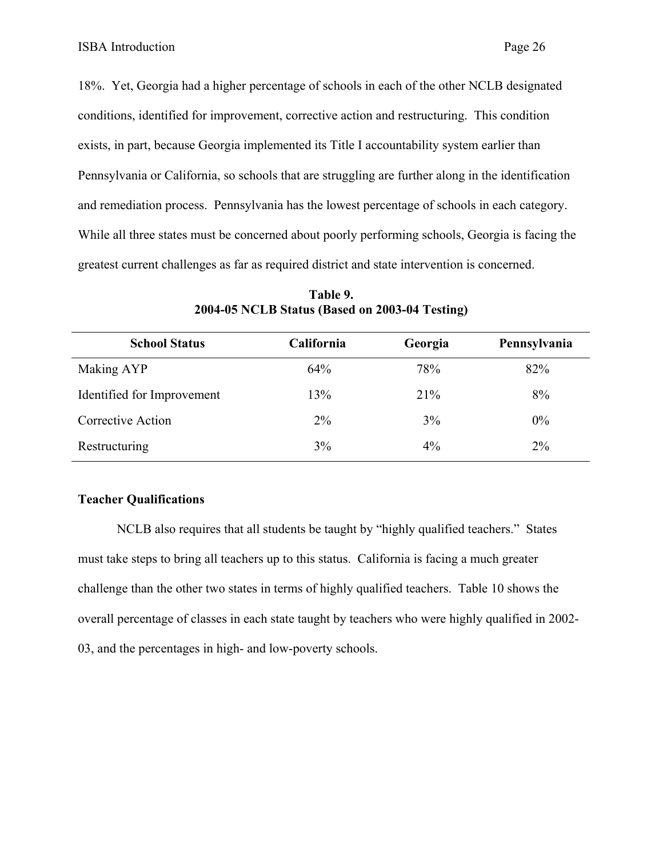18%. Yet, Georgia had a higher percentage of schools in each of the other NCLB designated conditions, identified for improvement, corrective action and restructuring. This condition exists, in part, because Georgia implemented its Title I accountability system earlier than Pennsylvania or California, so schools that are struggling are further along in the identification and remediation process. Pennsylvania has the lowest percentage of schools in each category. While all three states must be concerned about poorly performing schools, Georgia is facing the greatest current challenges as far as required district and state intervention is concerned.

| <b>School Status</b>       | California | Georgia | Pennsylvania |
|----------------------------|------------|---------|--------------|
| Making AYP                 | 64%        | 78%     | 82%          |
| Identified for Improvement | 13%        | 21%     | 8%           |
| Corrective Action          | $2\%$      | 3%      | $0\%$        |
| Restructuring              | 3%         | $4\%$   | $2\%$        |

**Table 9. 2004-05 NCLB Status (Based on 2003-04 Testing)** 

## **Teacher Qualifications**

 NCLB also requires that all students be taught by "highly qualified teachers." States must take steps to bring all teachers up to this status. California is facing a much greater challenge than the other two states in terms of highly qualified teachers. Table 10 shows the overall percentage of classes in each state taught by teachers who were highly qualified in 2002- 03, and the percentages in high- and low-poverty schools.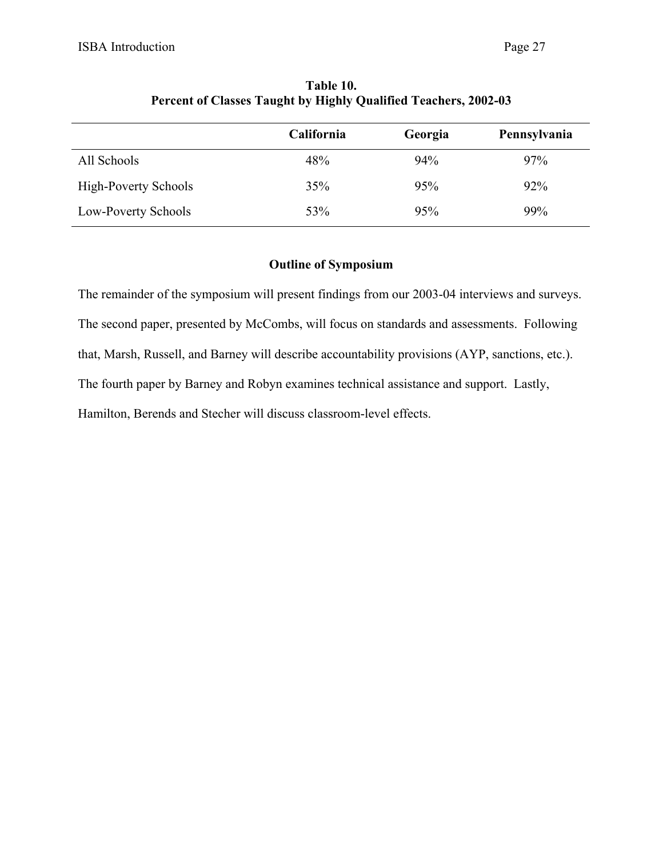|                             | California | Georgia | Pennsylvania |
|-----------------------------|------------|---------|--------------|
| All Schools                 | 48%        | 94%     | 97%          |
| <b>High-Poverty Schools</b> | 35%        | 95%     | 92%          |
| Low-Poverty Schools         | 53%        | 95%     | 99%          |

**Table 10. Percent of Classes Taught by Highly Qualified Teachers, 2002-03** 

# **Outline of Symposium**

The remainder of the symposium will present findings from our 2003-04 interviews and surveys. The second paper, presented by McCombs, will focus on standards and assessments. Following that, Marsh, Russell, and Barney will describe accountability provisions (AYP, sanctions, etc.). The fourth paper by Barney and Robyn examines technical assistance and support. Lastly, Hamilton, Berends and Stecher will discuss classroom-level effects.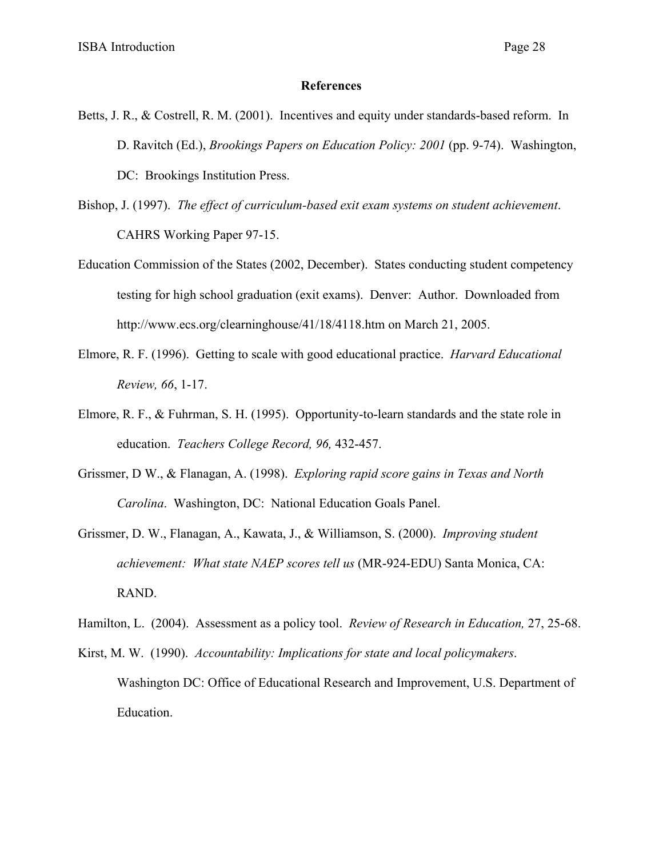#### **References**

- Betts, J. R., & Costrell, R. M. (2001). Incentives and equity under standards-based reform. In D. Ravitch (Ed.), *Brookings Papers on Education Policy: 2001* (pp. 9-74). Washington, DC: Brookings Institution Press.
- Bishop, J. (1997). *The effect of curriculum-based exit exam systems on student achievement*. CAHRS Working Paper 97-15.
- Education Commission of the States (2002, December). States conducting student competency testing for high school graduation (exit exams). Denver: Author. Downloaded from http://www.ecs.org/clearninghouse/41/18/4118.htm on March 21, 2005.
- Elmore, R. F. (1996). Getting to scale with good educational practice. *Harvard Educational Review, 66*, 1-17.
- Elmore, R. F., & Fuhrman, S. H. (1995). Opportunity-to-learn standards and the state role in education. *Teachers College Record, 96,* 432-457.
- Grissmer, D W., & Flanagan, A. (1998). *Exploring rapid score gains in Texas and North Carolina*. Washington, DC: National Education Goals Panel.
- Grissmer, D. W., Flanagan, A., Kawata, J., & Williamson, S. (2000). *Improving student achievement: What state NAEP scores tell us* (MR-924-EDU) Santa Monica, CA: RAND.
- Hamilton, L. (2004). Assessment as a policy tool. *Review of Research in Education,* 27, 25-68.
- Kirst, M. W. (1990). *Accountability: Implications for state and local policymakers*. Washington DC: Office of Educational Research and Improvement, U.S. Department of Education.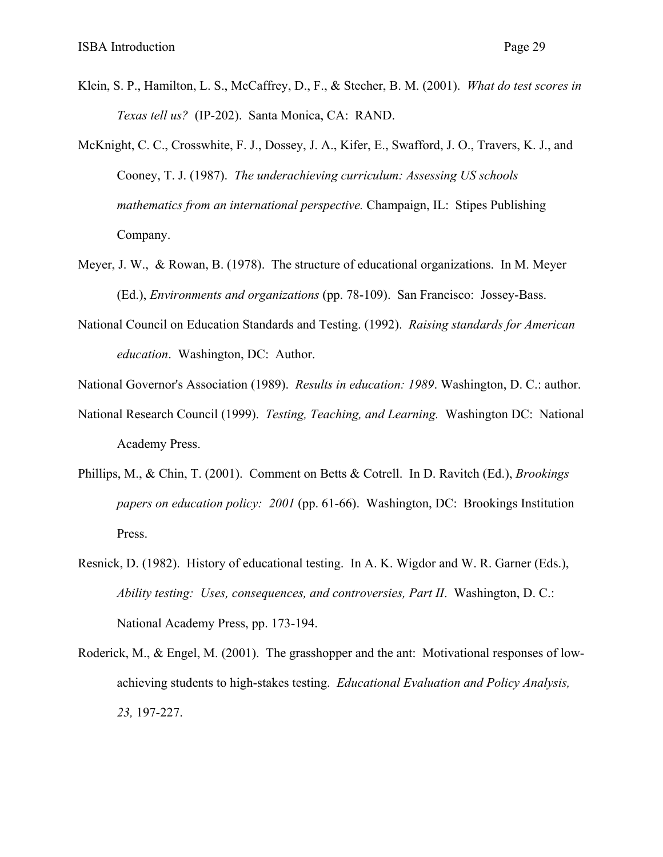- Klein, S. P., Hamilton, L. S., McCaffrey, D., F., & Stecher, B. M. (2001). *What do test scores in Texas tell us?* (IP-202). Santa Monica, CA: RAND.
- McKnight, C. C., Crosswhite, F. J., Dossey, J. A., Kifer, E., Swafford, J. O., Travers, K. J., and Cooney, T. J. (1987). *The underachieving curriculum: Assessing US schools mathematics from an international perspective.* Champaign, IL: Stipes Publishing Company.
- Meyer, J. W., & Rowan, B. (1978). The structure of educational organizations. In M. Meyer (Ed.), *Environments and organizations* (pp. 78-109). San Francisco: Jossey-Bass.
- National Council on Education Standards and Testing. (1992). *Raising standards for American education*. Washington, DC: Author.
- National Governor's Association (1989). *Results in education: 1989*. Washington, D. C.: author.
- National Research Council (1999). *Testing, Teaching, and Learning.* Washington DC: National Academy Press.
- Phillips, M., & Chin, T. (2001). Comment on Betts & Cotrell. In D. Ravitch (Ed.), *Brookings papers on education policy: 2001* (pp. 61-66). Washington, DC: Brookings Institution Press.
- Resnick, D. (1982). History of educational testing. In A. K. Wigdor and W. R. Garner (Eds.), *Ability testing: Uses, consequences, and controversies, Part II*. Washington, D. C.: National Academy Press, pp. 173-194.
- Roderick, M., & Engel, M. (2001). The grasshopper and the ant: Motivational responses of lowachieving students to high-stakes testing. *Educational Evaluation and Policy Analysis, 23,* 197-227.